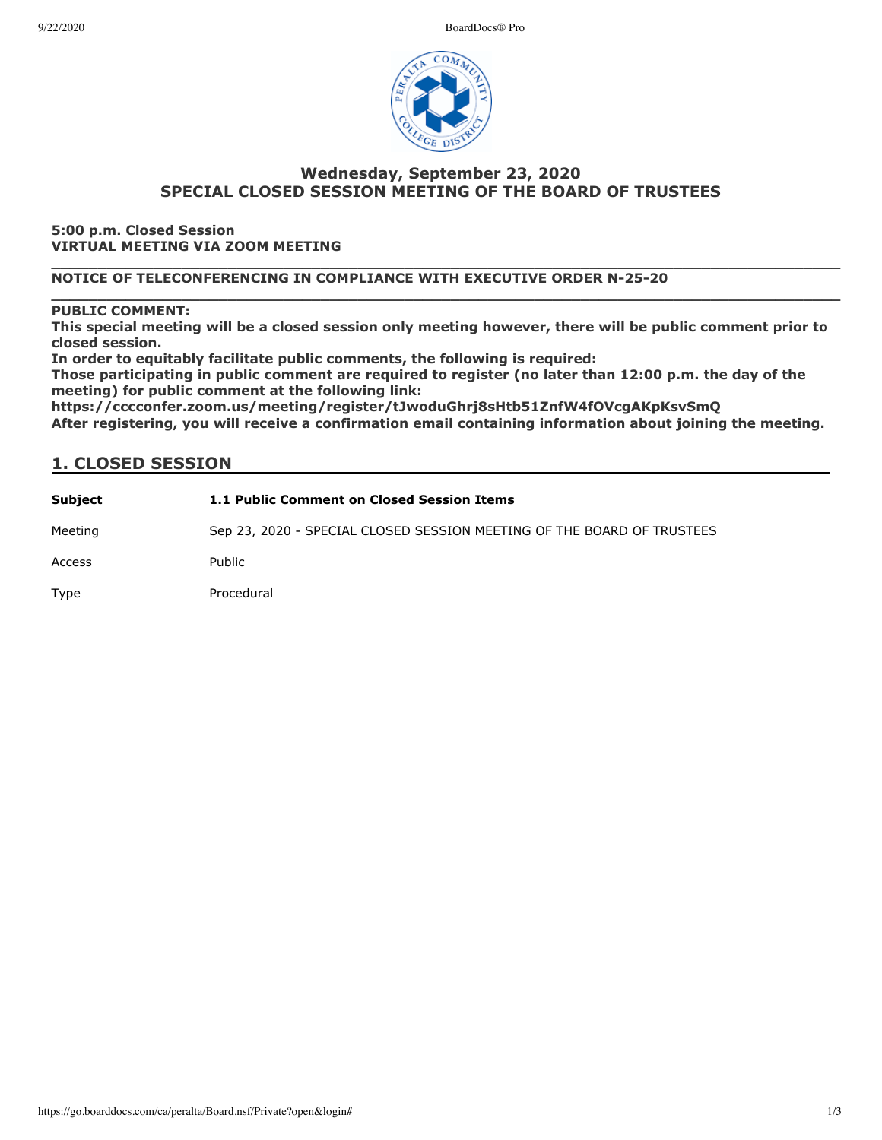9/22/2020 BoardDocs® Pro



# **Wednesda\, September 23, 2020 SPECIAL CLOSED SESSION MEETING OF THE BOARD OF TRUSTEES**

**5:00 p.m. Closed Session VIRTUAL MEETING VIA ZOOM MEETING**

#### **\_\_\_\_\_\_\_\_\_\_\_\_\_\_\_\_\_\_\_\_\_\_\_\_\_\_\_\_\_\_\_\_\_\_\_\_\_\_\_\_\_\_\_\_\_\_\_\_\_\_\_\_\_\_\_\_\_\_\_\_\_\_\_\_\_\_\_\_\_\_\_\_\_\_\_\_\_\_\_\_\_\_\_\_\_ NOTICE OF TELECONFERENCING IN COMPLIANCE WITH EXECUTIVE ORDER N-25-20**

### **PUBLIC COMMENT:**

This special meeting will be a closed session only meeting however, there will be public comment prior to **closed session.**

**\_\_\_\_\_\_\_\_\_\_\_\_\_\_\_\_\_\_\_\_\_\_\_\_\_\_\_\_\_\_\_\_\_\_\_\_\_\_\_\_\_\_\_\_\_\_\_\_\_\_\_\_\_\_\_\_\_\_\_\_\_\_\_\_\_\_\_\_\_\_\_\_\_\_\_\_\_\_\_\_\_\_\_\_\_**

In order to equitably facilitate public comments, the following is required:

Those participating in public comment are required to register (no later than 12:00 p.m. the day of the meeting) for public comment at the following link:

https://cccconfer.zoom.us/meeting/register/tJwoduGhrj8sHtb51ZnfW4fOVcgAKpKsvSmO After registering, you will receive a confirmation email containing information about joining the meeting.

## **1. CLOSED SESSION**

| Subject | 1.1 Public Comment on Closed Session Items                             |
|---------|------------------------------------------------------------------------|
| Meeting | Sep 23, 2020 - SPECIAL CLOSED SESSION MEETING OF THE BOARD OF TRUSTEES |
| Access  | Public                                                                 |
| Type    | Procedural                                                             |
|         |                                                                        |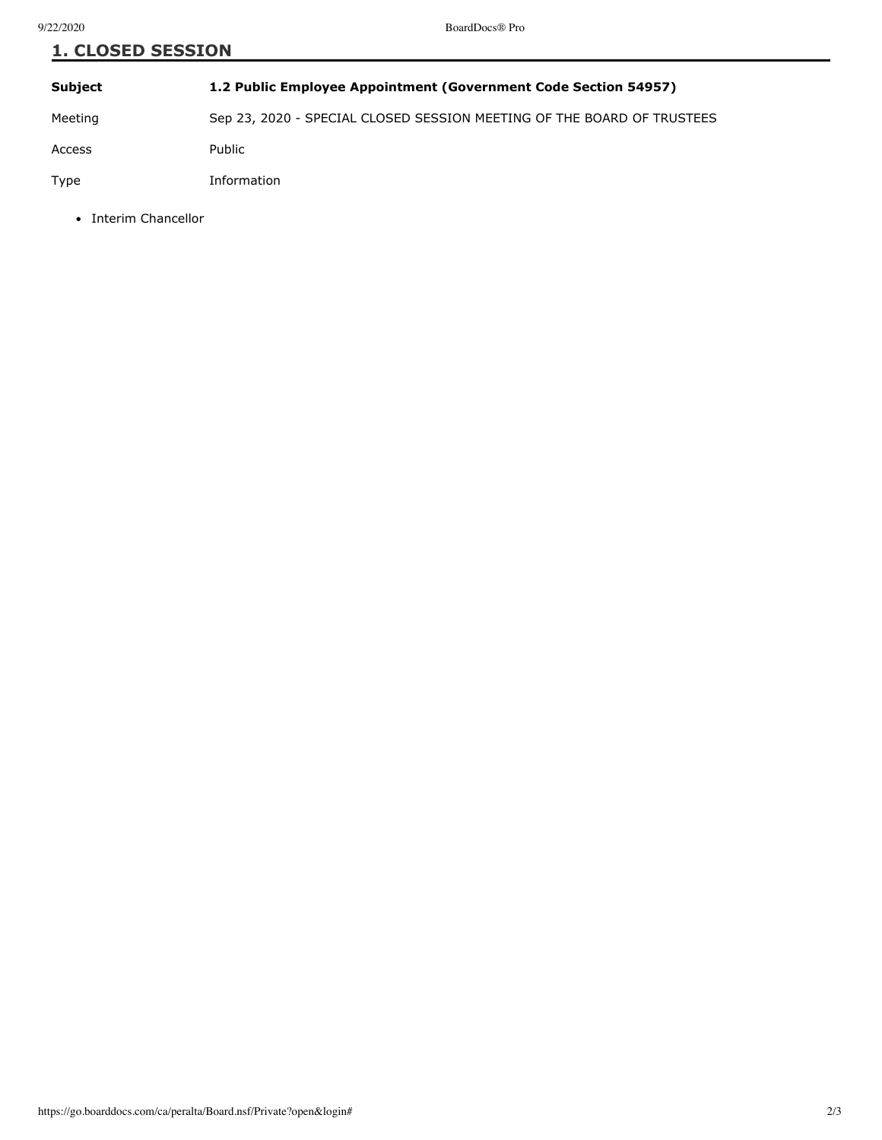| <b>1. CLOSED SESSION</b> |                                                                        |  |
|--------------------------|------------------------------------------------------------------------|--|
| <b>Subject</b>           | 1.2 Public Employee Appointment (Government Code Section 54957)        |  |
| Meeting                  | Sep 23, 2020 - SPECIAL CLOSED SESSION MEETING OF THE BOARD OF TRUSTEES |  |
| Access                   | Public                                                                 |  |
| Type                     | Information                                                            |  |

• Interim Chancellor